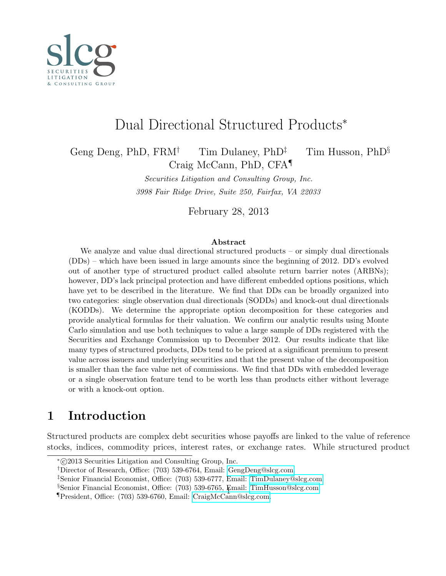

# Dual Directional Structured Products<sup>∗</sup>

Geng Deng, PhD, FRM<sup>†</sup> Tim Dulaney, PhD<sup>‡</sup> Tim Husson, PhD<sup>§</sup> Craig McCann, PhD, CFA¶

> Securities Litigation and Consulting Group, Inc. 3998 Fair Ridge Drive, Suite 250, Fairfax, VA 22033

> > February 28, 2013

#### Abstract

We analyze and value dual directional structured products – or simply dual directionals (DDs) – which have been issued in large amounts since the beginning of 2012. DD's evolved out of another type of structured product called absolute return barrier notes (ARBNs); however, DD's lack principal protection and have different embedded options positions, which have yet to be described in the literature. We find that DDs can be broadly organized into two categories: single observation dual directionals (SODDs) and knock-out dual directionals (KODDs). We determine the appropriate option decomposition for these categories and provide analytical formulas for their valuation. We confirm our analytic results using Monte Carlo simulation and use both techniques to value a large sample of DDs registered with the Securities and Exchange Commission up to December 2012. Our results indicate that like many types of structured products, DDs tend to be priced at a significant premium to present value across issuers and underlying securities and that the present value of the decomposition is smaller than the face value net of commissions. We find that DDs with embedded leverage or a single observation feature tend to be worth less than products either without leverage or with a knock-out option.

## 1 Introduction

Structured products are complex debt securities whose payoffs are linked to the value of reference stocks, indices, commodity prices, interest rates, or exchange rates. While structured product

<sup>∗</sup> c 2013 Securities Litigation and Consulting Group, Inc.

<sup>†</sup>Director of Research, Office: (703) 539-6764, Email: [GengDeng@slcg.com.](mailto:GengDeng@slcg.com)

<sup>‡</sup>Senior Financial Economist, Office: (703) 539-6777, Email: [TimDulaney@slcg.com.](mailto:TimDulaney@slcg.com)

<sup>§</sup>Senior Financial Economist, Office: (703) 539-6765, Email: [TimHusson@slcg.com.](mailto:TimHusson@slcg.com)

<sup>¶</sup>President, Office: (703) 539-6760, Email: [CraigMcCann@slcg.com.](mailto:CraigMcCann@slcg.com) <sup>1</sup>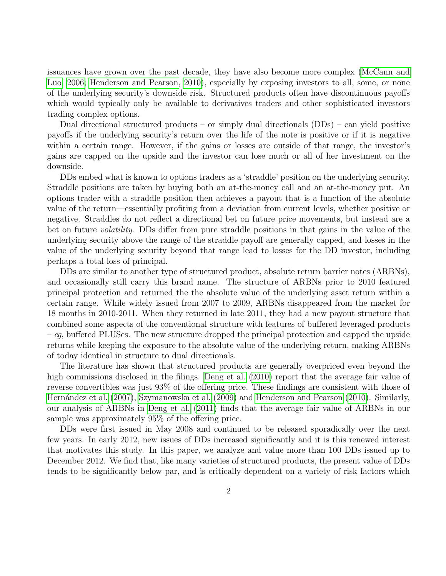issuances have grown over the past decade, they have also become more complex [\(McCann and](#page-17-0) [Luo, 2006;](#page-17-0) [Henderson and Pearson, 2010\)](#page-17-1), especially by exposing investors to all, some, or none of the underlying security's downside risk. Structured products often have discontinuous payoffs which would typically only be available to derivatives traders and other sophisticated investors trading complex options.

Dual directional structured products – or simply dual directionals (DDs) – can yield positive payoffs if the underlying security's return over the life of the note is positive or if it is negative within a certain range. However, if the gains or losses are outside of that range, the investor's gains are capped on the upside and the investor can lose much or all of her investment on the downside.

DDs embed what is known to options traders as a 'straddle' position on the underlying security. Straddle positions are taken by buying both an at-the-money call and an at-the-money put. An options trader with a straddle position then achieves a payout that is a function of the absolute value of the return—essentially profiting from a deviation from current levels, whether positive or negative. Straddles do not reflect a directional bet on future price movements, but instead are a bet on future volatility. DDs differ from pure straddle positions in that gains in the value of the underlying security above the range of the straddle payoff are generally capped, and losses in the value of the underlying security beyond that range lead to losses for the DD investor, including perhaps a total loss of principal.

DDs are similar to another type of structured product, absolute return barrier notes (ARBNs), and occasionally still carry this brand name. The structure of ARBNs prior to 2010 featured principal protection and returned the the absolute value of the underlying asset return within a certain range. While widely issued from 2007 to 2009, ARBNs disappeared from the market for 18 months in 2010-2011. When they returned in late 2011, they had a new payout structure that combined some aspects of the conventional structure with features of buffered leveraged products – eg, buffered PLUSes. The new structure dropped the principal protection and capped the upside returns while keeping the exposure to the absolute value of the underlying return, making ARBNs of today identical in structure to dual directionals.

The literature has shown that structured products are generally overpriced even beyond the high commissions disclosed in the filings. [Deng et al.](#page-16-0) [\(2010\)](#page-16-0) report that the average fair value of reverse convertibles was just 93% of the offering price. These findings are consistent with those of [Hern´andez et al.](#page-17-2) [\(2007\)](#page-17-2), [Szymanowska et al.](#page-17-3) [\(2009\)](#page-17-3) and [Henderson and Pearson](#page-17-1) [\(2010\)](#page-17-1). Similarly, our analysis of ARBNs in [Deng et al.](#page-16-1) [\(2011\)](#page-16-1) finds that the average fair value of ARBNs in our sample was approximately 95% of the offering price.

DDs were first issued in May 2008 and continued to be released sporadically over the next few years. In early 2012, new issues of DDs increased significantly and it is this renewed interest that motivates this study. In this paper, we analyze and value more than 100 DDs issued up to December 2012. We find that, like many varieties of structured products, the present value of DDs tends to be significantly below par, and is critically dependent on a variety of risk factors which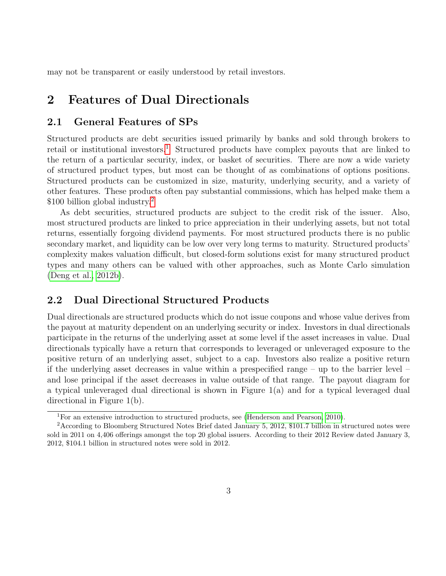may not be transparent or easily understood by retail investors.

### 2 Features of Dual Directionals

#### 2.1 General Features of SPs

Structured products are debt securities issued primarily by banks and sold through brokers to retail or institutional investors.<sup>[1](#page-2-0)</sup> Structured products have complex payouts that are linked to the return of a particular security, index, or basket of securities. There are now a wide variety of structured product types, but most can be thought of as combinations of options positions. Structured products can be customized in size, maturity, underlying security, and a variety of other features. These products often pay substantial commissions, which has helped make them a \$100 billion global industry.<sup>[2](#page-2-1)</sup>

As debt securities, structured products are subject to the credit risk of the issuer. Also, most structured products are linked to price appreciation in their underlying assets, but not total returns, essentially forgoing dividend payments. For most structured products there is no public secondary market, and liquidity can be low over very long terms to maturity. Structured products' complexity makes valuation difficult, but closed-form solutions exist for many structured product types and many others can be valued with other approaches, such as Monte Carlo simulation [\(Deng et al., 2012b\)](#page-17-4).

#### 2.2 Dual Directional Structured Products

Dual directionals are structured products which do not issue coupons and whose value derives from the payout at maturity dependent on an underlying security or index. Investors in dual directionals participate in the returns of the underlying asset at some level if the asset increases in value. Dual directionals typically have a return that corresponds to leveraged or unleveraged exposure to the positive return of an underlying asset, subject to a cap. Investors also realize a positive return if the underlying asset decreases in value within a prespecified range – up to the barrier level – and lose principal if the asset decreases in value outside of that range. The payout diagram for a typical unleveraged dual directional is shown in Figure 1(a) and for a typical leveraged dual directional in Figure 1(b).

<span id="page-2-1"></span><span id="page-2-0"></span><sup>&</sup>lt;sup>1</sup>For an extensive introduction to structured products, see [\(Henderson and Pearson, 2010\)](#page-17-1).

<sup>2</sup>According to Bloomberg Structured Notes Brief dated January 5, 2012, \$101.7 billion in structured notes were sold in 2011 on 4,406 offerings amongst the top 20 global issuers. According to their 2012 Review dated January 3, 2012, \$104.1 billion in structured notes were sold in 2012.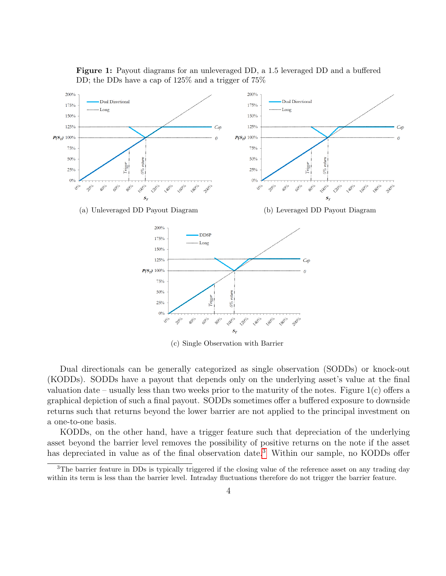

Figure 1: Payout diagrams for an unleveraged DD, a 1.5 leveraged DD and a buffered DD; the DDs have a cap of 125% and a trigger of 75%

(c) Single Observation with Barrier

Dual directionals can be generally categorized as single observation (SODDs) or knock-out (KODDs). SODDs have a payout that depends only on the underlying asset's value at the final valuation date – usually less than two weeks prior to the maturity of the notes. Figure 1(c) offers a graphical depiction of such a final payout. SODDs sometimes offer a buffered exposure to downside returns such that returns beyond the lower barrier are not applied to the principal investment on a one-to-one basis.

KODDs, on the other hand, have a trigger feature such that depreciation of the underlying asset beyond the barrier level removes the possibility of positive returns on the note if the asset has depreciated in value as of the final observation date.<sup>[3](#page-3-0)</sup> Within our sample, no KODDs offer

<span id="page-3-0"></span><sup>&</sup>lt;sup>3</sup>The barrier feature in DDs is typically triggered if the closing value of the reference asset on any trading day within its term is less than the barrier level. Intraday fluctuations therefore do not trigger the barrier feature.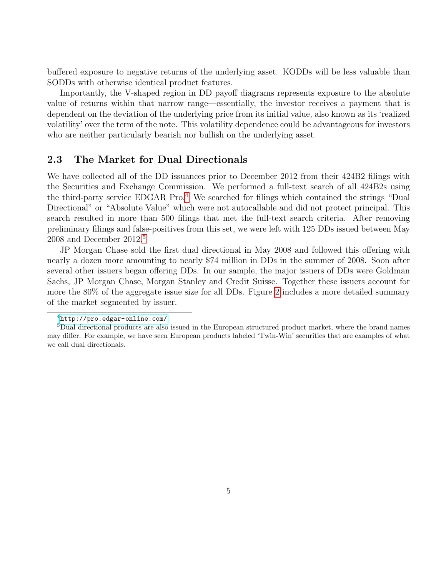buffered exposure to negative returns of the underlying asset. KODDs will be less valuable than SODDs with otherwise identical product features.

Importantly, the V-shaped region in DD payoff diagrams represents exposure to the absolute value of returns within that narrow range—essentially, the investor receives a payment that is dependent on the deviation of the underlying price from its initial value, also known as its 'realized volatility' over the term of the note. This volatility dependence could be advantageous for investors who are neither particularly bearish nor bullish on the underlying asset.

### 2.3 The Market for Dual Directionals

We have collected all of the DD issuances prior to December 2012 from their 424B2 filings with the Securities and Exchange Commission. We performed a full-text search of all 424B2s using the third-party service EDGAR Pro.<sup>[4](#page-4-0)</sup> We searched for filings which contained the strings "Dual" Directional" or "Absolute Value" which were not autocallable and did not protect principal. This search resulted in more than 500 filings that met the full-text search criteria. After removing preliminary filings and false-positives from this set, we were left with 125 DDs issued between May 2008 and December  $2012<sup>5</sup>$  $2012<sup>5</sup>$  $2012<sup>5</sup>$ 

JP Morgan Chase sold the first dual directional in May 2008 and followed this offering with nearly a dozen more amounting to nearly \$74 million in DDs in the summer of 2008. Soon after several other issuers began offering DDs. In our sample, the major issuers of DDs were Goldman Sachs, JP Morgan Chase, Morgan Stanley and Credit Suisse. Together these issuers account for more the 80% of the aggregate issue size for all DDs. Figure [2](#page-5-0) includes a more detailed summary of the market segmented by issuer.

<span id="page-4-1"></span><span id="page-4-0"></span><sup>4</sup><http://pro.edgar-online.com/>

<sup>5</sup>Dual directional products are also issued in the European structured product market, where the brand names may differ. For example, we have seen European products labeled 'Twin-Win' securities that are examples of what we call dual directionals.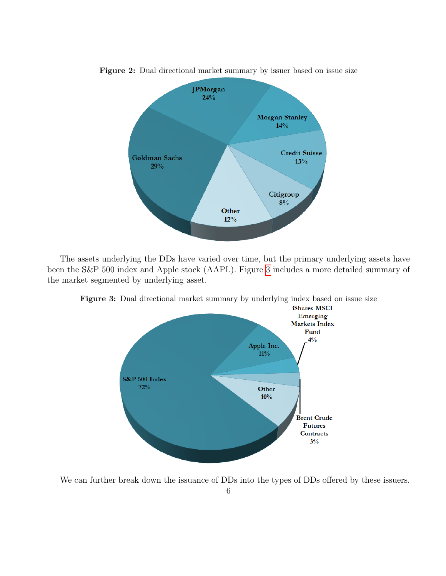

<span id="page-5-0"></span>Figure 2: Dual directional market summary by issuer based on issue size

The assets underlying the DDs have varied over time, but the primary underlying assets have been the S&P 500 index and Apple stock (AAPL). Figure [3](#page-5-1) includes a more detailed summary of the market segmented by underlying asset.



<span id="page-5-1"></span>Figure 3: Dual directional market summary by underlying index based on issue size

We can further break down the issuance of DDs into the types of DDs offered by these issuers.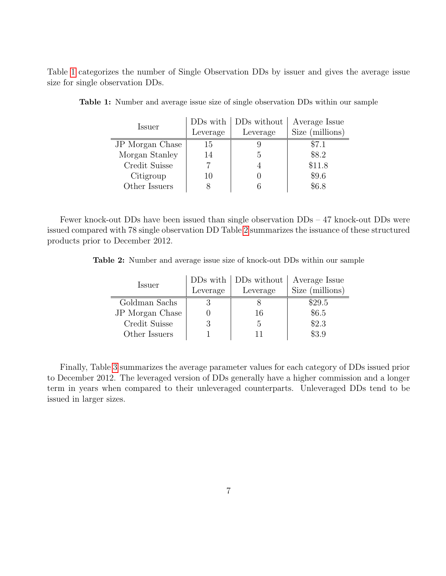<span id="page-6-0"></span>Table [1](#page-6-0) categorizes the number of Single Observation DDs by issuer and gives the average issue size for single observation DDs.

|                 | DD <sub>s</sub> with | DDs without | Average Issue   |
|-----------------|----------------------|-------------|-----------------|
| Issuer          | Leverage             | Leverage    | Size (millions) |
| JP Morgan Chase | 15                   |             | \$7.1           |
| Morgan Stanley  | 14                   | 5           | \$8.2           |
| Credit Suisse   |                      |             | \$11.8          |
| Citigroup       | 10                   |             | \$9.6           |
| Other Issuers   | 8                    |             | \$6.8           |

Table 1: Number and average issue size of single observation DDs within our sample

<span id="page-6-1"></span>Fewer knock-out DDs have been issued than single observation DDs – 47 knock-out DDs were issued compared with 78 single observation DD Table [2](#page-6-1) summarizes the issuance of these structured products prior to December 2012.

Table 2: Number and average issue size of knock-out DDs within our sample

|                 |          | $\text{DDs}$ with $\mid$ DDs without | Average Issue   |
|-----------------|----------|--------------------------------------|-----------------|
| Issuer          | Leverage | Leverage                             | Size (millions) |
| Goldman Sachs   |          |                                      | \$29.5          |
| JP Morgan Chase |          | 16                                   | \$6.5           |
| Credit Suisse   |          | 5                                    | \$2.3           |
| Other Issuers   |          |                                      | \$3.9           |

Finally, Table [3](#page-7-0) summarizes the average parameter values for each category of DDs issued prior to December 2012. The leveraged version of DDs generally have a higher commission and a longer term in years when compared to their unleveraged counterparts. Unleveraged DDs tend to be issued in larger sizes.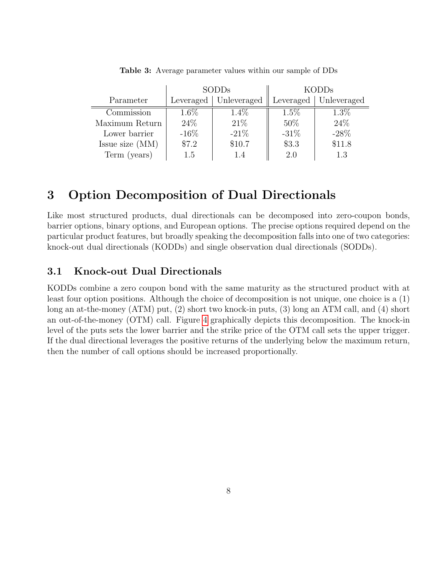<span id="page-7-0"></span>

|                 | <b>SODDs</b> |             | <b>KODDs</b> |                         |
|-----------------|--------------|-------------|--------------|-------------------------|
| Parameter       | Leveraged    | Unleveraged |              | Leveraged   Unleveraged |
| Commission      | $1.6\%$      | $1.4\%$     | $1.5\%$      | $1.3\%$                 |
| Maximum Return  | 24\%         | 21%         | 50%          | 24\%                    |
| Lower barrier   | $-16\%$      | $-21\%$     | $-31\%$      | $-28\%$                 |
| Issue size (MM) | \$7.2        | \$10.7      | \$3.3        | \$11.8                  |
| Term (years)    | 1.5          | 14          | 2.0          | 13                      |

Table 3: Average parameter values within our sample of DDs

## 3 Option Decomposition of Dual Directionals

Like most structured products, dual directionals can be decomposed into zero-coupon bonds, barrier options, binary options, and European options. The precise options required depend on the particular product features, but broadly speaking the decomposition falls into one of two categories: knock-out dual directionals (KODDs) and single observation dual directionals (SODDs).

#### 3.1 Knock-out Dual Directionals

KODDs combine a zero coupon bond with the same maturity as the structured product with at least four option positions. Although the choice of decomposition is not unique, one choice is a (1) long an at-the-money (ATM) put, (2) short two knock-in puts, (3) long an ATM call, and (4) short an out-of-the-money (OTM) call. Figure [4](#page-8-0) graphically depicts this decomposition. The knock-in level of the puts sets the lower barrier and the strike price of the OTM call sets the upper trigger. If the dual directional leverages the positive returns of the underlying below the maximum return, then the number of call options should be increased proportionally.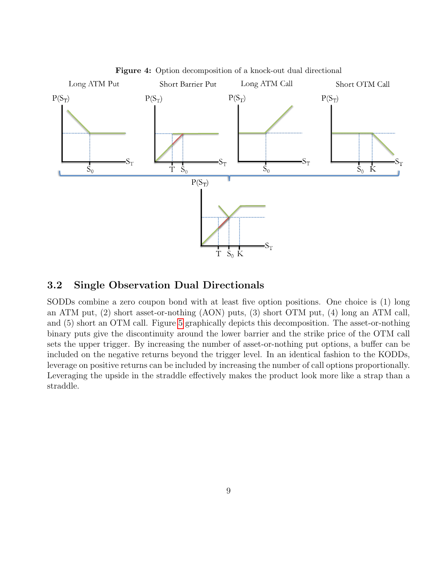<span id="page-8-0"></span>

Figure 4: Option decomposition of a knock-out dual directional

### 3.2 Single Observation Dual Directionals

SODDs combine a zero coupon bond with at least five option positions. One choice is (1) long an ATM put, (2) short asset-or-nothing (AON) puts, (3) short OTM put, (4) long an ATM call, and (5) short an OTM call. Figure [5](#page-9-0) graphically depicts this decomposition. The asset-or-nothing binary puts give the discontinuity around the lower barrier and the strike price of the OTM call sets the upper trigger. By increasing the number of asset-or-nothing put options, a buffer can be included on the negative returns beyond the trigger level. In an identical fashion to the KODDs, leverage on positive returns can be included by increasing the number of call options proportionally. Leveraging the upside in the straddle effectively makes the product look more like a strap than a straddle.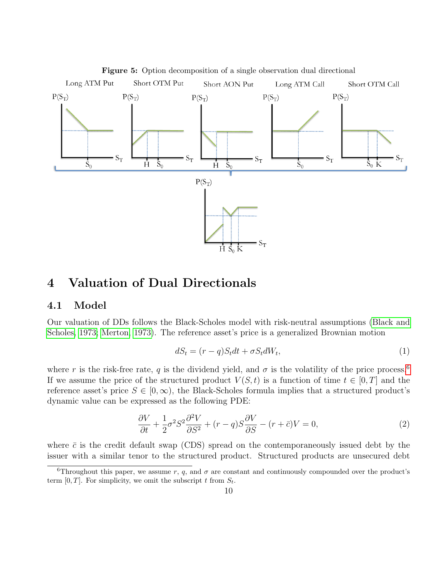<span id="page-9-0"></span>

4 Valuation of Dual Directionals

#### 4.1 Model

Our valuation of DDs follows the Black-Scholes model with risk-neutral assumptions [\(Black and](#page-16-2) [Scholes, 1973;](#page-16-2) [Merton, 1973\)](#page-17-5). The reference asset's price is a generalized Brownian motion

$$
dS_t = (r - q)S_t dt + \sigma S_t dW_t,
$$
\n<sup>(1)</sup>

where r is the risk-free rate, q is the dividend yield, and  $\sigma$  is the volatility of the price process.<sup>[6](#page-9-1)</sup> If we assume the price of the structured product  $V(S, t)$  is a function of time  $t \in [0, T]$  and the reference asset's price  $S \in [0,\infty)$ , the Black-Scholes formula implies that a structured product's dynamic value can be expressed as the following PDE:

$$
\frac{\partial V}{\partial t} + \frac{1}{2}\sigma^2 S^2 \frac{\partial^2 V}{\partial S^2} + (r - q)S \frac{\partial V}{\partial S} - (r + \bar{c})V = 0,\tag{2}
$$

where  $\bar{c}$  is the credit default swap (CDS) spread on the contemporaneously issued debt by the issuer with a similar tenor to the structured product. Structured products are unsecured debt

<span id="page-9-1"></span><sup>&</sup>lt;sup>6</sup>Throughout this paper, we assume r, q, and  $\sigma$  are constant and continuously compounded over the product's term  $[0, T]$ . For simplicity, we omit the subscript t from  $S_t$ .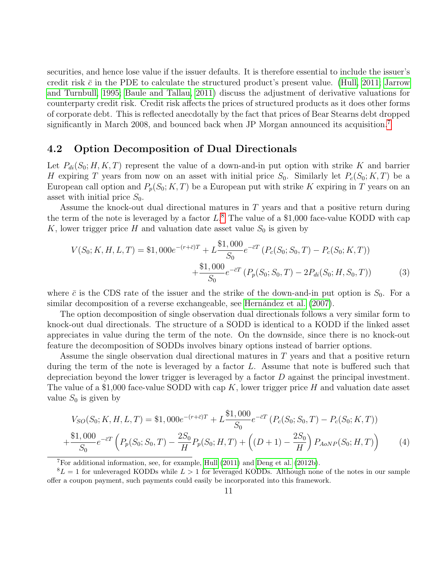securities, and hence lose value if the issuer defaults. It is therefore essential to include the issuer's credit risk  $\bar{c}$  in the PDE to calculate the structured product's present value. [\(Hull, 2011;](#page-17-6) [Jarrow](#page-17-7) [and Turnbull, 1995;](#page-17-7) [Baule and Tallau, 2011\)](#page-16-3) discuss the adjustment of derivative valuations for counterparty credit risk. Credit risk affects the prices of structured products as it does other forms of corporate debt. This is reflected anecdotally by the fact that prices of Bear Stearns debt dropped significantly in March 2008, and bounced back when JP Morgan announced its acquisition.<sup>[7](#page-10-0)</sup>

#### 4.2 Option Decomposition of Dual Directionals

Let  $P_{di}(S_0; H, K, T)$  represent the value of a down-and-in put option with strike K and barrier H expiring T years from now on an asset with initial price  $S_0$ . Similarly let  $P_c(S_0; K, T)$  be a European call option and  $P_p(S_0; K, T)$  be a European put with strike K expiring in T years on an asset with initial price  $S_0$ .

Assume the knock-out dual directional matures in T years and that a positive return during the term of the note is leveraged by a factor  $L^8$  $L^8$ . The value of a \$1,000 face-value KODD with cap K, lower trigger price H and valuation date asset value  $S_0$  is given by

<span id="page-10-2"></span>
$$
V(S_0; K, H, L, T) = \$1,000e^{-(r+\bar{c})T} + L\frac{\$1,000}{S_0}e^{-\bar{c}T}\left(P_c(S_0; S_0, T) - P_c(S_0; K, T)\right) + \frac{\$1,000}{S_0}e^{-\bar{c}T}\left(P_p(S_0; S_0, T) - 2P_{di}(S_0; H, S_0, T)\right)
$$
(3)

where  $\bar{c}$  is the CDS rate of the issuer and the strike of the down-and-in put option is  $S_0$ . For a similar decomposition of a reverse exchangeable, see Hernández et al. [\(2007\)](#page-17-2).

The option decomposition of single observation dual directionals follows a very similar form to knock-out dual directionals. The structure of a SODD is identical to a KODD if the linked asset appreciates in value during the term of the note. On the downside, since there is no knock-out feature the decomposition of SODDs involves binary options instead of barrier options.

Assume the single observation dual directional matures in T years and that a positive return during the term of the note is leveraged by a factor  $L$ . Assume that note is buffered such that depreciation beyond the lower trigger is leveraged by a factor  $D$  against the principal investment. The value of a \$1,000 face-value SODD with cap  $K$ , lower trigger price H and valuation date asset value  $S_0$  is given by

<span id="page-10-3"></span>
$$
V_{SO}(S_0; K, H, L, T) = \$1,000e^{-(r+\bar{c})T} + L\frac{\$1,000}{S_0}e^{-\bar{c}T}(P_c(S_0; S_0, T) - P_c(S_0; K, T))
$$
  
 
$$
+\frac{\$1,000}{S_0}e^{-\bar{c}T}\left(P_p(S_0; S_0, T) - \frac{2S_0}{H}P_p(S_0; H, T) + \left((D+1) - \frac{2S_0}{H}\right)P_{AoNP}(S_0; H, T)\right) \tag{4}
$$

<span id="page-10-1"></span><span id="page-10-0"></span><sup>7</sup>For additional information, see, for example, [Hull](#page-17-6) [\(2011\)](#page-17-6) and [Deng et al.](#page-17-4) [\(2012b\)](#page-17-4).

 ${}^{8}L = 1$  for unleveraged KODDs while  $L > 1$  for leveraged KODDs. Although none of the notes in our sample offer a coupon payment, such payments could easily be incorporated into this framework.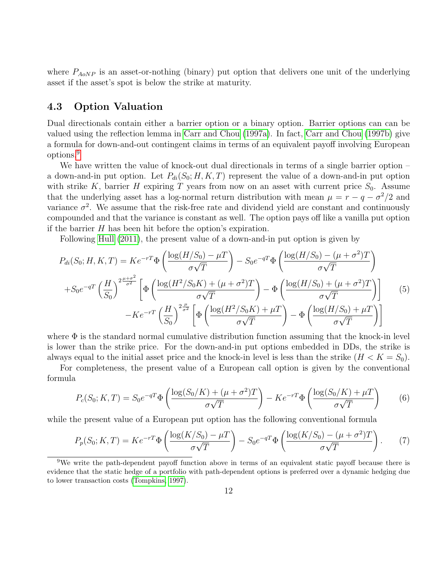where  $P_{AoNP}$  is an asset-or-nothing (binary) put option that delivers one unit of the underlying asset if the asset's spot is below the strike at maturity.

#### 4.3 Option Valuation

Dual directionals contain either a barrier option or a binary option. Barrier options can can be valued using the reflection lemma in [Carr and Chou](#page-16-4) [\(1997a\)](#page-16-4). In fact, [Carr and Chou](#page-16-5) [\(1997b\)](#page-16-5) give a formula for down-and-out contingent claims in terms of an equivalent payoff involving European options.[9](#page-11-0)

We have written the value of knock-out dual directionals in terms of a single barrier option – a down-and-in put option. Let  $P_{di}(S_0; H, K, T)$  represent the value of a down-and-in put option with strike K, barrier H expiring T years from now on an asset with current price  $S_0$ . Assume that the underlying asset has a log-normal return distribution with mean  $\mu = r - q - \sigma^2/2$  and variance  $\sigma^2$ . We assume that the risk-free rate and dividend yield are constant and continuously compounded and that the variance is constant as well. The option pays off like a vanilla put option if the barrier  $H$  has been hit before the option's expiration.

Following [Hull](#page-17-6) [\(2011\)](#page-17-6), the present value of a down-and-in put option is given by

<span id="page-11-1"></span>
$$
P_{di}(S_0; H, K, T) = Ke^{-rT} \Phi \left( \frac{\log(H/S_0) - \mu T}{\sigma \sqrt{T}} \right) - S_0 e^{-qT} \Phi \left( \frac{\log(H/S_0) - (\mu + \sigma^2) T}{\sigma \sqrt{T}} \right)
$$

$$
+ S_0 e^{-qT} \left( \frac{H}{S_0} \right)^{2\frac{\mu + \sigma^2}{\sigma^2}} \left[ \Phi \left( \frac{\log(H^2/S_0 K) + (\mu + \sigma^2) T}{\sigma \sqrt{T}} \right) - \Phi \left( \frac{\log(H/S_0) + (\mu + \sigma^2) T}{\sigma \sqrt{T}} \right) \right] \tag{5}
$$

$$
-Ke^{-rT} \left( \frac{H}{S_0} \right)^{2\frac{\mu}{\sigma^2}} \left[ \Phi \left( \frac{\log(H^2/S_0 K) + \mu T}{\sigma \sqrt{T}} \right) - \Phi \left( \frac{\log(H/S_0) + \mu T}{\sigma \sqrt{T}} \right) \right]
$$

where  $\Phi$  is the standard normal cumulative distribution function assuming that the knock-in level is lower than the strike price. For the down-and-in put options embedded in DDs, the strike is always equal to the initial asset price and the knock-in level is less than the strike  $(H < K = S_0)$ .

For completeness, the present value of a European call option is given by the conventional formula

$$
P_c(S_0; K, T) = S_0 e^{-qT} \Phi \left( \frac{\log(S_0/K) + (\mu + \sigma^2)T}{\sigma \sqrt{T}} \right) - Ke^{-rT} \Phi \left( \frac{\log(S_0/K) + \mu T}{\sigma \sqrt{T}} \right) \tag{6}
$$

while the present value of a European put option has the following conventional formula

$$
P_p(S_0; K, T) = Ke^{-rT} \Phi\left(\frac{\log(K/S_0) - \mu T}{\sigma \sqrt{T}}\right) - S_0 e^{-qT} \Phi\left(\frac{\log(K/S_0) - (\mu + \sigma^2)T}{\sigma \sqrt{T}}\right). \tag{7}
$$

<span id="page-11-0"></span><sup>9</sup>We write the path-dependent payoff function above in terms of an equivalent static payoff because there is evidence that the static hedge of a portfolio with path-dependent options is preferred over a dynamic hedging due to lower transaction costs [\(Tompkins, 1997\)](#page-17-8).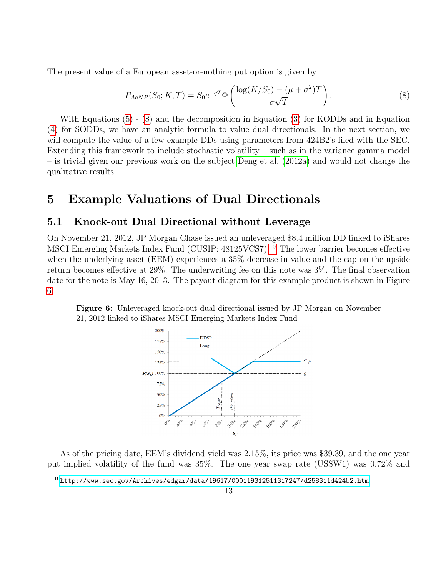The present value of a European asset-or-nothing put option is given by

<span id="page-12-0"></span>
$$
P_{AoNP}(S_0; K, T) = S_0 e^{-qT} \Phi \left( \frac{\log(K/S_0) - (\mu + \sigma^2) T}{\sigma \sqrt{T}} \right).
$$
 (8)

With Equations [\(5\)](#page-11-1) - [\(8\)](#page-12-0) and the decomposition in Equation [\(3\)](#page-10-2) for KODDs and in Equation [\(4\)](#page-10-3) for SODDs, we have an analytic formula to value dual directionals. In the next section, we will compute the value of a few example DDs using parameters from 424B2's filed with the SEC. Extending this framework to include stochastic volatility – such as in the variance gamma model – is trivial given our previous work on the subject [Deng et al.](#page-17-9) [\(2012a\)](#page-17-9) and would not change the qualitative results.

### 5 Example Valuations of Dual Directionals

#### 5.1 Knock-out Dual Directional without Leverage

On November 21, 2012, JP Morgan Chase issued an unleveraged \$8.4 million DD linked to iShares MSCI Emerging Markets Index Fund (CUSIP: 48125VCS7).[10](#page-12-1) The lower barrier becomes effective when the underlying asset (EEM) experiences a 35% decrease in value and the cap on the upside return becomes effective at 29%. The underwriting fee on this note was 3%. The final observation date for the note is May 16, 2013. The payout diagram for this example product is shown in Figure [6.](#page-12-2)

<span id="page-12-2"></span>



As of the pricing date, EEM's dividend yield was 2.15%, its price was \$39.39, and the one year put implied volatility of the fund was 35%. The one year swap rate (USSW1) was 0.72% and

<span id="page-12-1"></span> $^{10}$ <http://www.sec.gov/Archives/edgar/data/19617/000119312511317247/d258311d424b2.htm>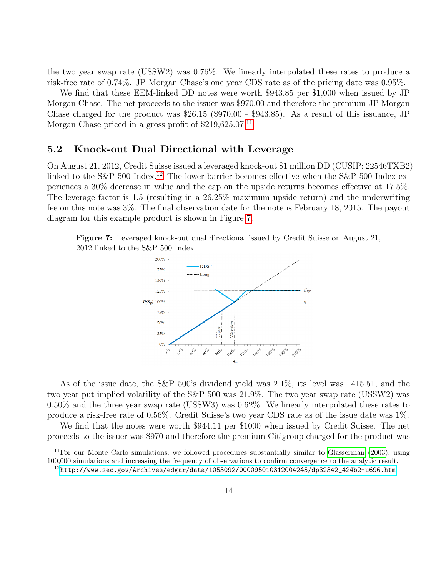the two year swap rate (USSW2) was 0.76%. We linearly interpolated these rates to produce a risk-free rate of 0.74%. JP Morgan Chase's one year CDS rate as of the pricing date was 0.95%.

We find that these EEM-linked DD notes were worth \$943.85 per \$1,000 when issued by JP Morgan Chase. The net proceeds to the issuer was \$970.00 and therefore the premium JP Morgan Chase charged for the product was \$26.15 (\$970.00 - \$943.85). As a result of this issuance, JP Morgan Chase priced in a gross profit of  $$219,625.07<sup>11</sup>$  $$219,625.07<sup>11</sup>$  $$219,625.07<sup>11</sup>$ 

#### 5.2 Knock-out Dual Directional with Leverage

On August 21, 2012, Credit Suisse issued a leveraged knock-out \$1 million DD (CUSIP: 22546TXB2) linked to the S&P 500 Index.<sup>[12](#page-13-1)</sup> The lower barrier becomes effective when the S&P 500 Index experiences a 30% decrease in value and the cap on the upside returns becomes effective at 17.5%. The leverage factor is 1.5 (resulting in a 26.25% maximum upside return) and the underwriting fee on this note was 3%. The final observation date for the note is February 18, 2015. The payout diagram for this example product is shown in Figure [7.](#page-13-2)

<span id="page-13-2"></span>Figure 7: Leveraged knock-out dual directional issued by Credit Suisse on August 21, 2012 linked to the S&P 500 Index



As of the issue date, the S&P 500's dividend yield was 2.1%, its level was 1415.51, and the two year put implied volatility of the S&P 500 was 21.9%. The two year swap rate (USSW2) was 0.50% and the three year swap rate (USSW3) was 0.62%. We linearly interpolated these rates to produce a risk-free rate of 0.56%. Credit Suisse's two year CDS rate as of the issue date was 1%.

We find that the notes were worth \$944.11 per \$1000 when issued by Credit Suisse. The net proceeds to the issuer was \$970 and therefore the premium Citigroup charged for the product was

<span id="page-13-0"></span><sup>&</sup>lt;sup>11</sup>For our Monte Carlo simulations, we followed procedures substantially similar to [Glasserman](#page-17-10) [\(2003\)](#page-17-10), using 100,000 simulations and increasing the frequency of observations to confirm convergence to the analytic result.

<span id="page-13-1"></span> $^{12}$ [http://www.sec.gov/Archives/edgar/data/1053092/000095010312004245/dp32342\\_424b2-u696.htm](http://www.sec.gov/Archives/edgar/data/1053092/000095010312004245/dp32342_424b2-u696.htm)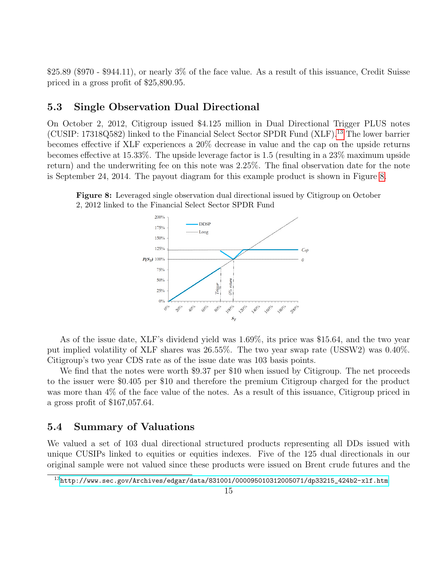$$25.89$  (\$970 - \$944.11), or nearly 3% of the face value. As a result of this issuance, Credit Suisse priced in a gross profit of \$25,890.95.

#### 5.3 Single Observation Dual Directional

On October 2, 2012, Citigroup issued \$4.125 million in Dual Directional Trigger PLUS notes (CUSIP: 17318Q582) linked to the Financial Select Sector SPDR Fund (XLF).[13](#page-14-0) The lower barrier becomes effective if XLF experiences a 20% decrease in value and the cap on the upside returns becomes effective at 15.33%. The upside leverage factor is 1.5 (resulting in a 23% maximum upside return) and the underwriting fee on this note was 2.25%. The final observation date for the note is September 24, 2014. The payout diagram for this example product is shown in Figure [8.](#page-14-1)

<span id="page-14-1"></span>



As of the issue date, XLF's dividend yield was 1.69%, its price was \$15.64, and the two year put implied volatility of XLF shares was 26.55%. The two year swap rate (USSW2) was 0.40%. Citigroup's two year CDS rate as of the issue date was 103 basis points.

We find that the notes were worth \$9.37 per \$10 when issued by Citigroup. The net proceeds to the issuer were \$0.405 per \$10 and therefore the premium Citigroup charged for the product was more than 4% of the face value of the notes. As a result of this issuance, Citigroup priced in a gross profit of \$167,057.64.

#### 5.4 Summary of Valuations

We valued a set of 103 dual directional structured products representing all DDs issued with unique CUSIPs linked to equities or equities indexes. Five of the 125 dual directionals in our original sample were not valued since these products were issued on Brent crude futures and the

<span id="page-14-0"></span> $13$ [http://www.sec.gov/Archives/edgar/data/831001/000095010312005071/dp33215\\_424b2-xlf.htm](http://www.sec.gov/Archives/edgar/data/831001/000095010312005071/dp33215_424b2-xlf.htm)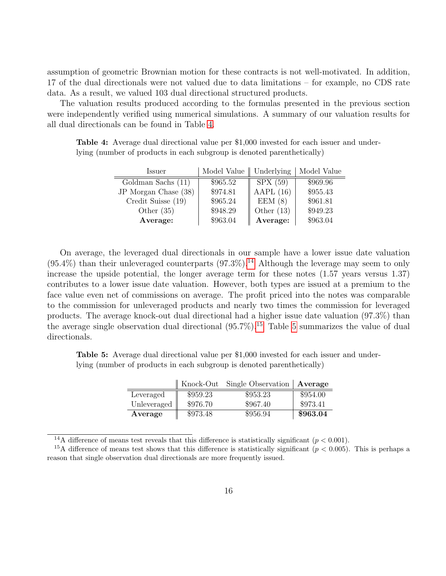assumption of geometric Brownian motion for these contracts is not well-motivated. In addition, 17 of the dual directionals were not valued due to data limitations – for example, no CDS rate data. As a result, we valued 103 dual directional structured products.

The valuation results produced according to the formulas presented in the previous section were independently verified using numerical simulations. A summary of our valuation results for all dual directionals can be found in Table [4.](#page-15-0)

<span id="page-15-0"></span>Table 4: Average dual directional value per \$1,000 invested for each issuer and underlying (number of products in each subgroup is denoted parenthetically)

| Issuer               | Model Value $\parallel$ Underlying |              | Model Value |
|----------------------|------------------------------------|--------------|-------------|
| Goldman Sachs (11)   | \$965.52                           | SPX(59)      | \$969.96    |
| JP Morgan Chase (38) | \$974.81                           | AAPL $(16)$  | \$955.43    |
| Credit Suisse (19)   | \$965.24                           | EEM(8)       | \$961.81    |
| Other $(35)$         | \$948.29                           | Other $(13)$ | \$949.23    |
| Average:             | \$963.04                           | Average:     | \$963.04    |

On average, the leveraged dual directionals in our sample have a lower issue date valuation  $(95.4\%)$  than their unleveraged counterparts  $(97.3\%)$ .<sup>[14](#page-15-1)</sup> Although the leverage may seem to only increase the upside potential, the longer average term for these notes (1.57 years versus 1.37) contributes to a lower issue date valuation. However, both types are issued at a premium to the face value even net of commissions on average. The profit priced into the notes was comparable to the commission for unleveraged products and nearly two times the commission for leveraged products. The average knock-out dual directional had a higher issue date valuation (97.3%) than the average single observation dual directional  $(95.7\%)$ .<sup>[15](#page-15-2)</sup> Table [5](#page-15-3) summarizes the value of dual directionals.

<span id="page-15-3"></span>Table 5: Average dual directional value per \$1,000 invested for each issuer and underlying (number of products in each subgroup is denoted parenthetically)

|                         |          | Knock-Out Single Observation   Average |          |
|-------------------------|----------|----------------------------------------|----------|
| Leveraged               | \$959.23 | \$953.23                               | \$954.00 |
| Unleveraged $\parallel$ | \$976.70 | \$967.40                               | \$973.41 |
| Average                 | \$973.48 | \$956.94                               | \$963.04 |

<span id="page-15-2"></span><span id="page-15-1"></span><sup>14</sup>A difference of means test reveals that this difference is statistically significant ( $p < 0.001$ ).

<sup>&</sup>lt;sup>15</sup>A difference of means test shows that this difference is statistically significant ( $p < 0.005$ ). This is perhaps a reason that single observation dual directionals are more frequently issued.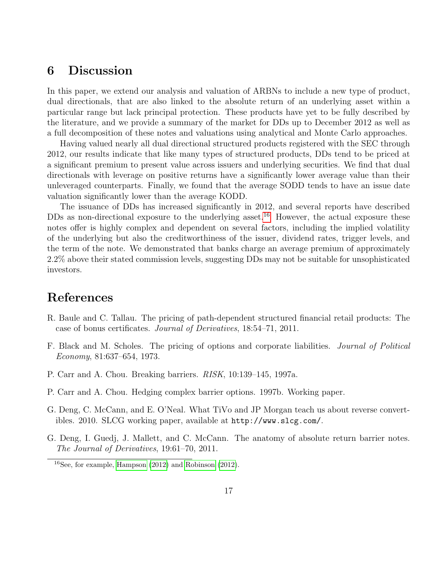## 6 Discussion

In this paper, we extend our analysis and valuation of ARBNs to include a new type of product, dual directionals, that are also linked to the absolute return of an underlying asset within a particular range but lack principal protection. These products have yet to be fully described by the literature, and we provide a summary of the market for DDs up to December 2012 as well as a full decomposition of these notes and valuations using analytical and Monte Carlo approaches.

Having valued nearly all dual directional structured products registered with the SEC through 2012, our results indicate that like many types of structured products, DDs tend to be priced at a significant premium to present value across issuers and underlying securities. We find that dual directionals with leverage on positive returns have a significantly lower average value than their unleveraged counterparts. Finally, we found that the average SODD tends to have an issue date valuation significantly lower than the average KODD.

The issuance of DDs has increased significantly in 2012, and several reports have described DDs as non-directional exposure to the underlying asset.<sup>[16](#page-16-6)</sup> However, the actual exposure these notes offer is highly complex and dependent on several factors, including the implied volatility of the underlying but also the creditworthiness of the issuer, dividend rates, trigger levels, and the term of the note. We demonstrated that banks charge an average premium of approximately 2.2% above their stated commission levels, suggesting DDs may not be suitable for unsophisticated investors.

### References

- <span id="page-16-3"></span>R. Baule and C. Tallau. The pricing of path-dependent structured financial retail products: The case of bonus certificates. Journal of Derivatives, 18:54–71, 2011.
- <span id="page-16-2"></span>F. Black and M. Scholes. The pricing of options and corporate liabilities. Journal of Political Economy, 81:637–654, 1973.
- <span id="page-16-4"></span>P. Carr and A. Chou. Breaking barriers. RISK, 10:139–145, 1997a.
- <span id="page-16-5"></span>P. Carr and A. Chou. Hedging complex barrier options. 1997b. Working paper.
- <span id="page-16-0"></span>G. Deng, C. McCann, and E. O'Neal. What TiVo and JP Morgan teach us about reverse convertibles. 2010. SLCG working paper, available at http://www.slcg.com/.
- <span id="page-16-1"></span>G. Deng, I. Guedj, J. Mallett, and C. McCann. The anatomy of absolute return barrier notes. The Journal of Derivatives, 19:61–70, 2011.

<span id="page-16-6"></span><sup>16</sup>See, for example, [Hampson](#page-17-11) [\(2012\)](#page-17-11) and [Robinson](#page-17-12) [\(2012\)](#page-17-12).